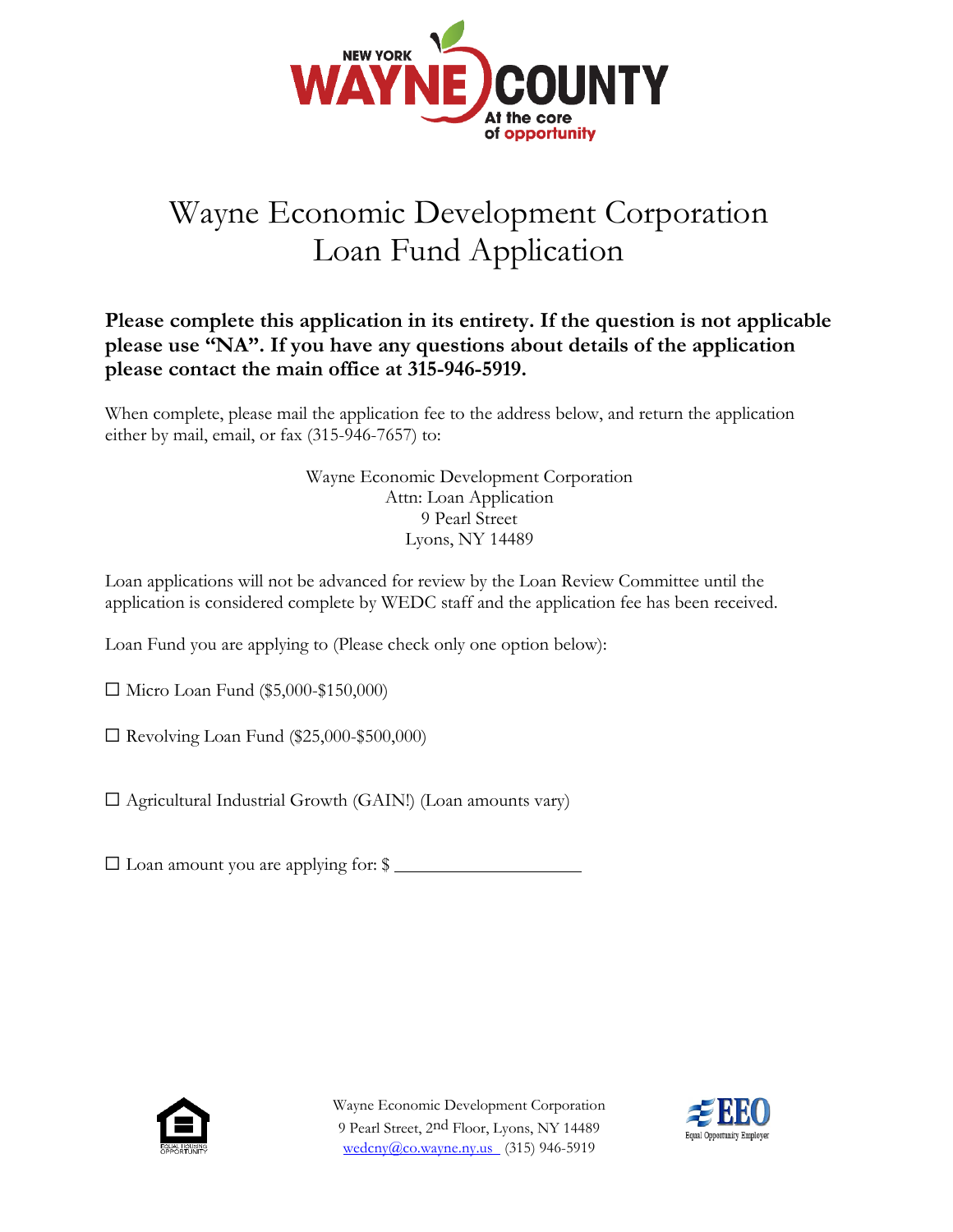

# Wayne Economic Development Corporation Loan Fund Application

# **Please complete this application in its entirety. If the question is not applicable please use "NA". If you have any questions about details of the application please contact the main office at 315-946-5919.**

When complete, please mail the application fee to the address below, and return the application either by mail, email, or fax (315-946-7657) to:

> Wayne Economic Development Corporation Attn: Loan Application 9 Pearl Street Lyons, NY 14489

Loan applications will not be advanced for review by the Loan Review Committee until the application is considered complete by WEDC staff and the application fee has been received.

Loan Fund you are applying to (Please check only one option below):

☐ Micro Loan Fund (\$5,000-\$150,000)

☐ Revolving Loan Fund (\$25,000-\$500,000)

☐ Agricultural Industrial Growth (GAIN!) (Loan amounts vary)

 $\Box$  Loan amount you are applying for:  $\$\_$ 



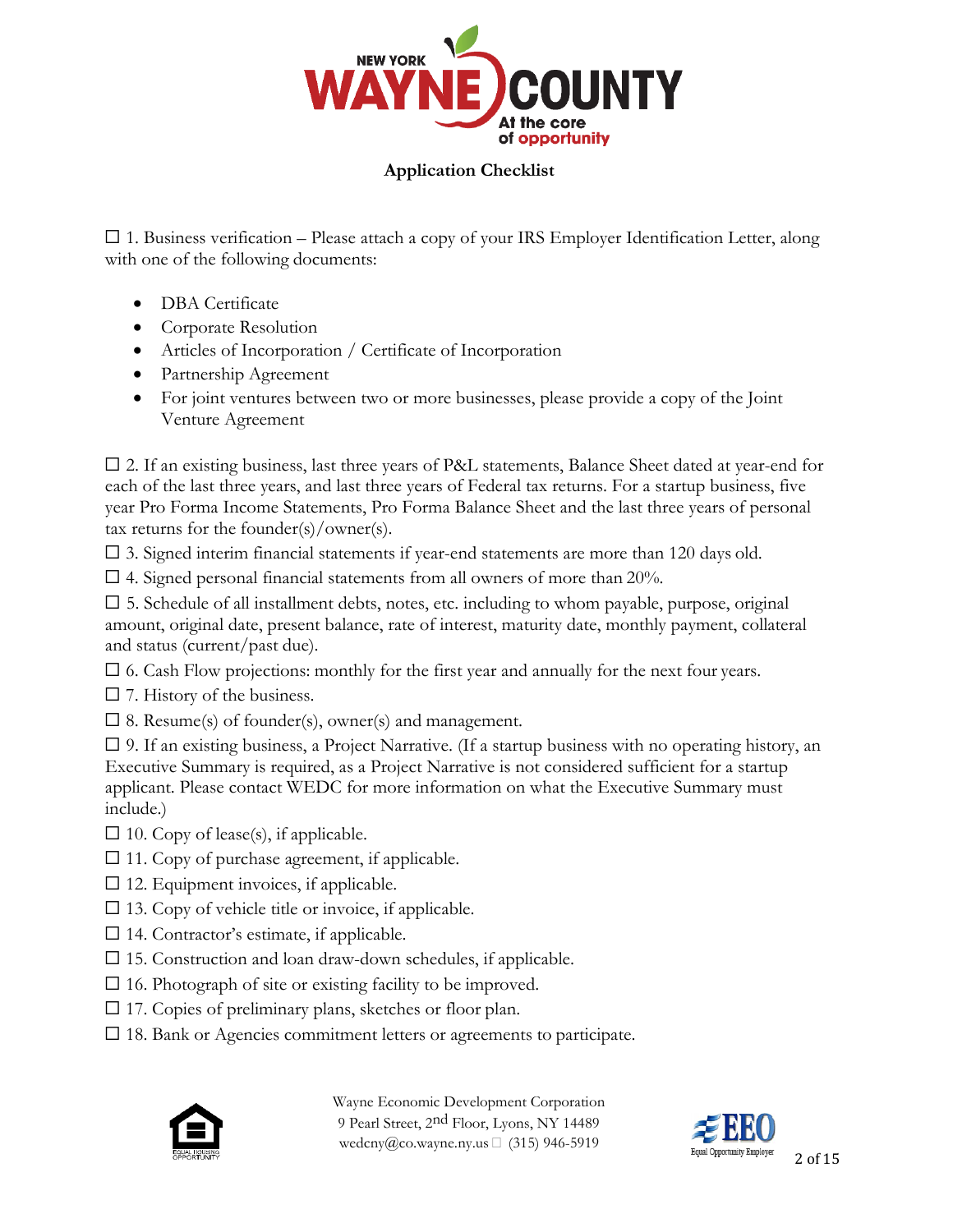

## **Application Checklist**

 $\Box$  1. Business verification – Please attach a copy of your IRS Employer Identification Letter, along with one of the following documents:

- DBA Certificate
- Corporate Resolution
- Articles of Incorporation / Certificate of Incorporation
- Partnership Agreement
- For joint ventures between two or more businesses, please provide a copy of the Joint Venture Agreement

 $\square$  2. If an existing business, last three years of P&L statements, Balance Sheet dated at year-end for each of the last three years, and last three years of Federal tax returns. For a startup business, five year Pro Forma Income Statements, Pro Forma Balance Sheet and the last three years of personal tax returns for the founder $(s)/$ owner $(s)$ .

☐ 3. Signed interim financial statements if year-end statements are more than 120 days old.

 $\Box$  4. Signed personal financial statements from all owners of more than 20%.

 $\square$  5. Schedule of all installment debts, notes, etc. including to whom payable, purpose, original amount, original date, present balance, rate of interest, maturity date, monthly payment, collateral and status (current/past due).

 $\Box$  6. Cash Flow projections: monthly for the first year and annually for the next four years.

 $\square$  7. History of the business.

 $\square$  8. Resume(s) of founder(s), owner(s) and management.

 $\square$  9. If an existing business, a Project Narrative. (If a startup business with no operating history, an Executive Summary is required, as a Project Narrative is not considered sufficient for a startup applicant. Please contact WEDC for more information on what the Executive Summary must include.)

- $\square$  10. Copy of lease(s), if applicable.
- $\Box$  11. Copy of purchase agreement, if applicable.
- $\square$  12. Equipment invoices, if applicable.
- $\square$  13. Copy of vehicle title or invoice, if applicable.
- $\Box$  14. Contractor's estimate, if applicable.
- $\square$  15. Construction and loan draw-down schedules, if applicable.
- $\square$  16. Photograph of site or existing facility to be improved.
- $\Box$  17. Copies of preliminary plans, sketches or floor plan.
- □ 18. Bank or Agencies commitment letters or agreements to participate.



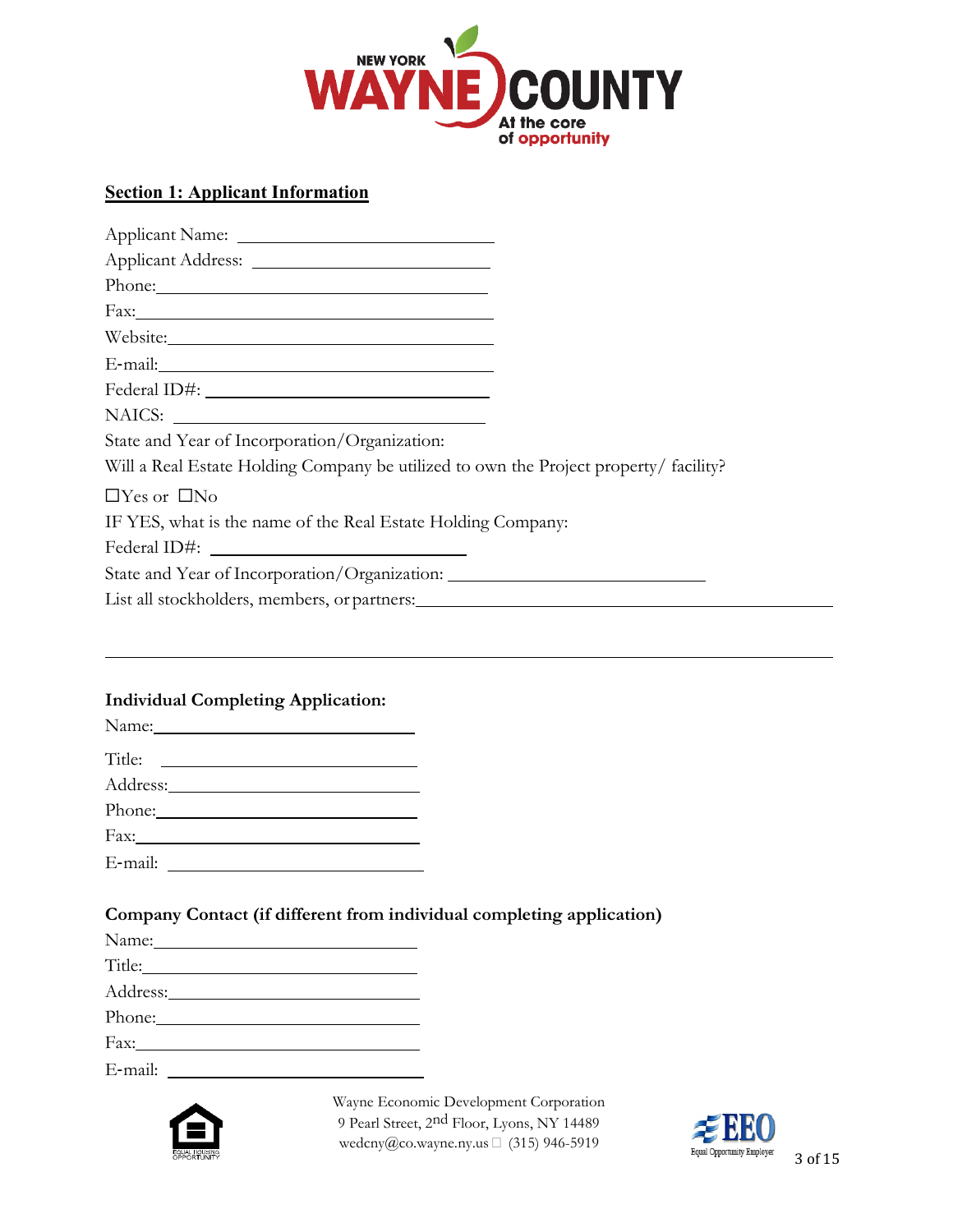

# **Section 1: Applicant Information**

| Phone:                                                                                                          |  |
|-----------------------------------------------------------------------------------------------------------------|--|
|                                                                                                                 |  |
|                                                                                                                 |  |
| E-mail: 2008 2010 2020 2020 2020 2021 2021 2022 2021 2022 2021 2022 2022 2022 2022 2021 2022 2022 2021 2022 20  |  |
| Federal ID#: New York Channels and The Present Channels and The Present Channels and The Present Channels and T |  |
|                                                                                                                 |  |
| State and Year of Incorporation/Organization:                                                                   |  |
| Will a Real Estate Holding Company be utilized to own the Project property/facility?                            |  |
| $\Box$ Yes or $\Box$ No                                                                                         |  |
| IF YES, what is the name of the Real Estate Holding Company:                                                    |  |
|                                                                                                                 |  |
| State and Year of Incorporation/Organization: __________________________________                                |  |
|                                                                                                                 |  |
|                                                                                                                 |  |

#### **Individual Completing Application:**

| Name: Name and the Mass of the Mass of the Mass of the Mass of the Mass of the Mass of the Mass of the Mass of the Mass of the Mass of the Mass of the Mass of the Mass of the Mass of the Mass of the Mass of the Mass of the |  |
|--------------------------------------------------------------------------------------------------------------------------------------------------------------------------------------------------------------------------------|--|
|                                                                                                                                                                                                                                |  |
|                                                                                                                                                                                                                                |  |
|                                                                                                                                                                                                                                |  |
| Fax:                                                                                                                                                                                                                           |  |
|                                                                                                                                                                                                                                |  |
|                                                                                                                                                                                                                                |  |

#### **Company Contact (if different from individual completing application)**

| Phone: 2008                                                |
|------------------------------------------------------------|
| Fax:                                                       |
| E-mail:<br><u> 1980 - Jan Barbara Barat, prima politik</u> |



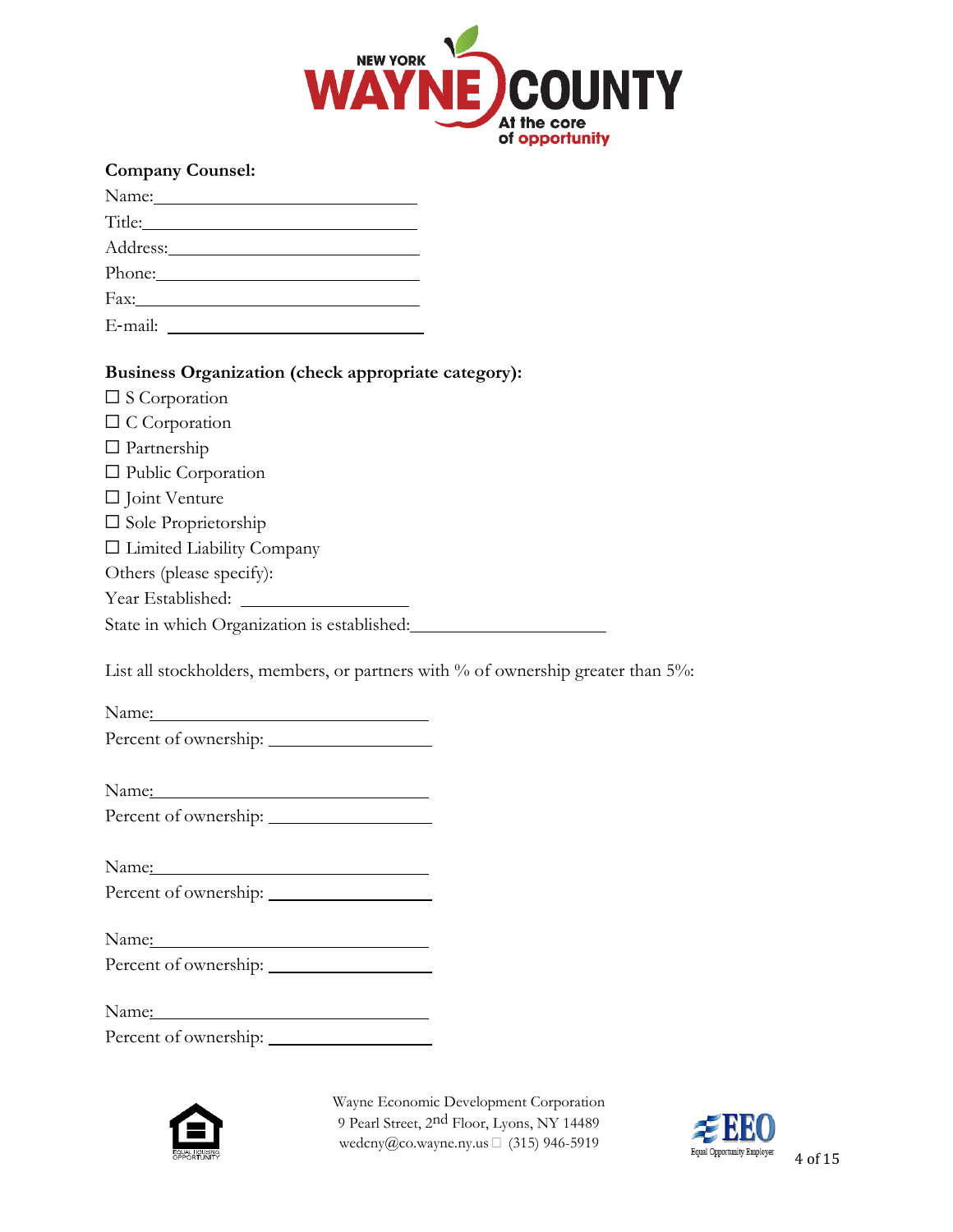

#### **Company Counsel:**

| Title:                                                                                                                           |
|----------------------------------------------------------------------------------------------------------------------------------|
|                                                                                                                                  |
| Phone: 2008                                                                                                                      |
|                                                                                                                                  |
| E-mail:<br><u> 1980 - Jan Barbara Barbara, prima prima prima prima prima prima prima prima prima prima prima prima prima pri</u> |

#### **Business Organization (check appropriate category):**

| $\square$ S Corporation |
|-------------------------|
|-------------------------|

|  | $\Box$ C Corporation |
|--|----------------------|
|--|----------------------|

☐ Partnership

|  | □ Public Corporation |
|--|----------------------|
|--|----------------------|

|  | $\Box$ Joint Venture |
|--|----------------------|
|--|----------------------|

☐ Sole Proprietorship

☐ Limited Liability Company

Others (please specify):

Year Established:

State in which Organization is established:

List all stockholders, members, or partners with % of ownership greater than 5%:

Name: Name and the set of the set of the set of the set of the set of the set of the set of the set of the set of the set of the set of the set of the set of the set of the set of the set of the set of the set of the set o Percent of ownership:

Name:

Percent of ownership:

| ъ.<br>Name: |   |   |  |
|-------------|---|---|--|
| --          | - | - |  |

| Percent of ownership: |  |
|-----------------------|--|
|                       |  |

Name:

| Percent of ownership: |  |
|-----------------------|--|
|                       |  |

Name:

Percent of ownership:



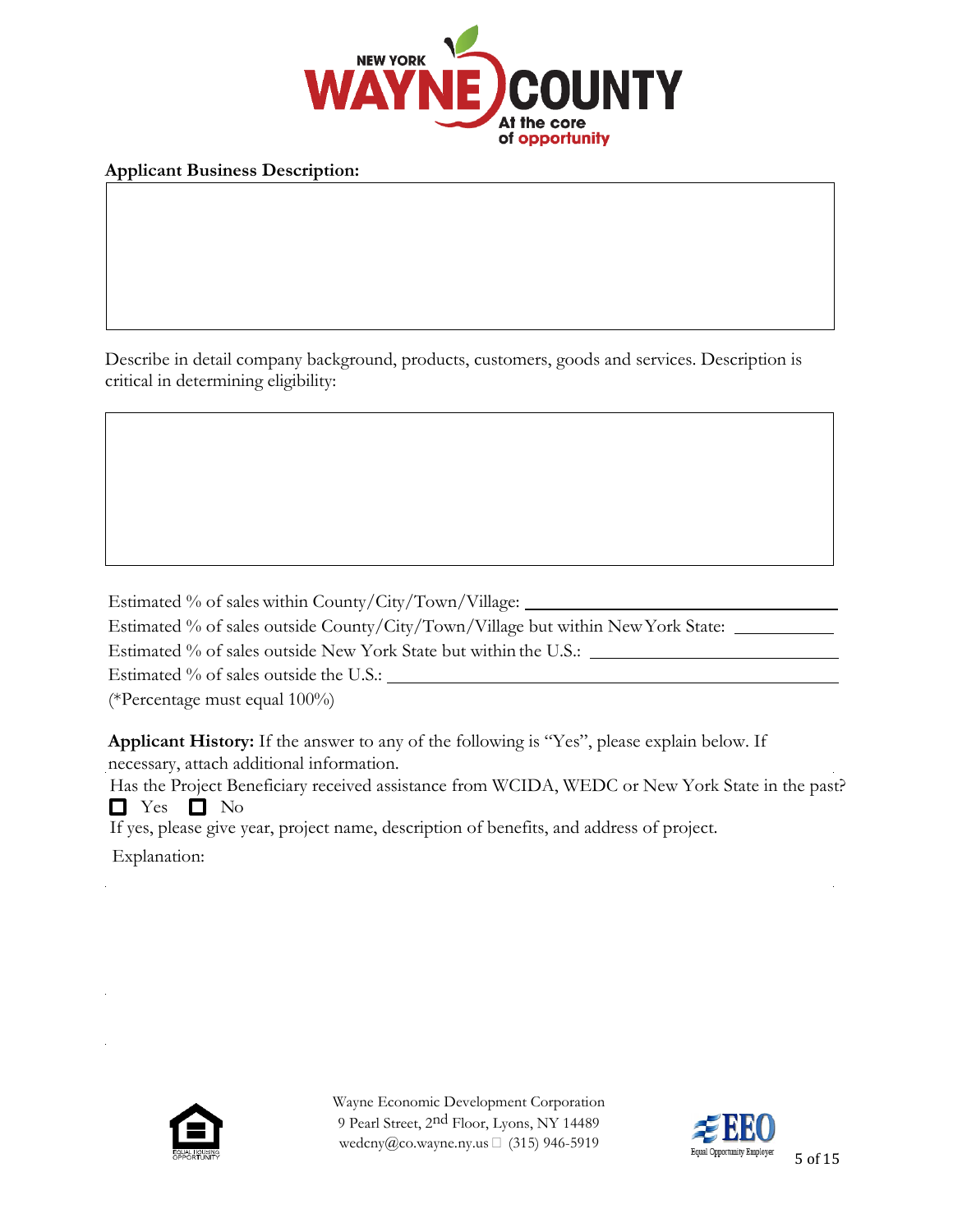

### **Applicant Business Description:**

Describe in detail company background, products, customers, goods and services. Description is critical in determining eligibility:

Estimated % of sales within County/City/Town/Village:

Estimated % of sales outside County/City/Town/Village but within NewYork State:

Estimated % of sales outside New York State but within the U.S.:

Estimated % of sales outside the U.S.:  $\_\_$ 

(\*Percentage must equal 100%)

**Applicant History:** If the answer to any of the following is "Yes", please explain below. If necessary, attach additional information.

Has the Project Beneficiary received assistance from WCIDA, WEDC or New York State in the past?  $\Box$  Yes  $\Box$  No

If yes, please give year, project name, description of benefits, and address of project.

Explanation:



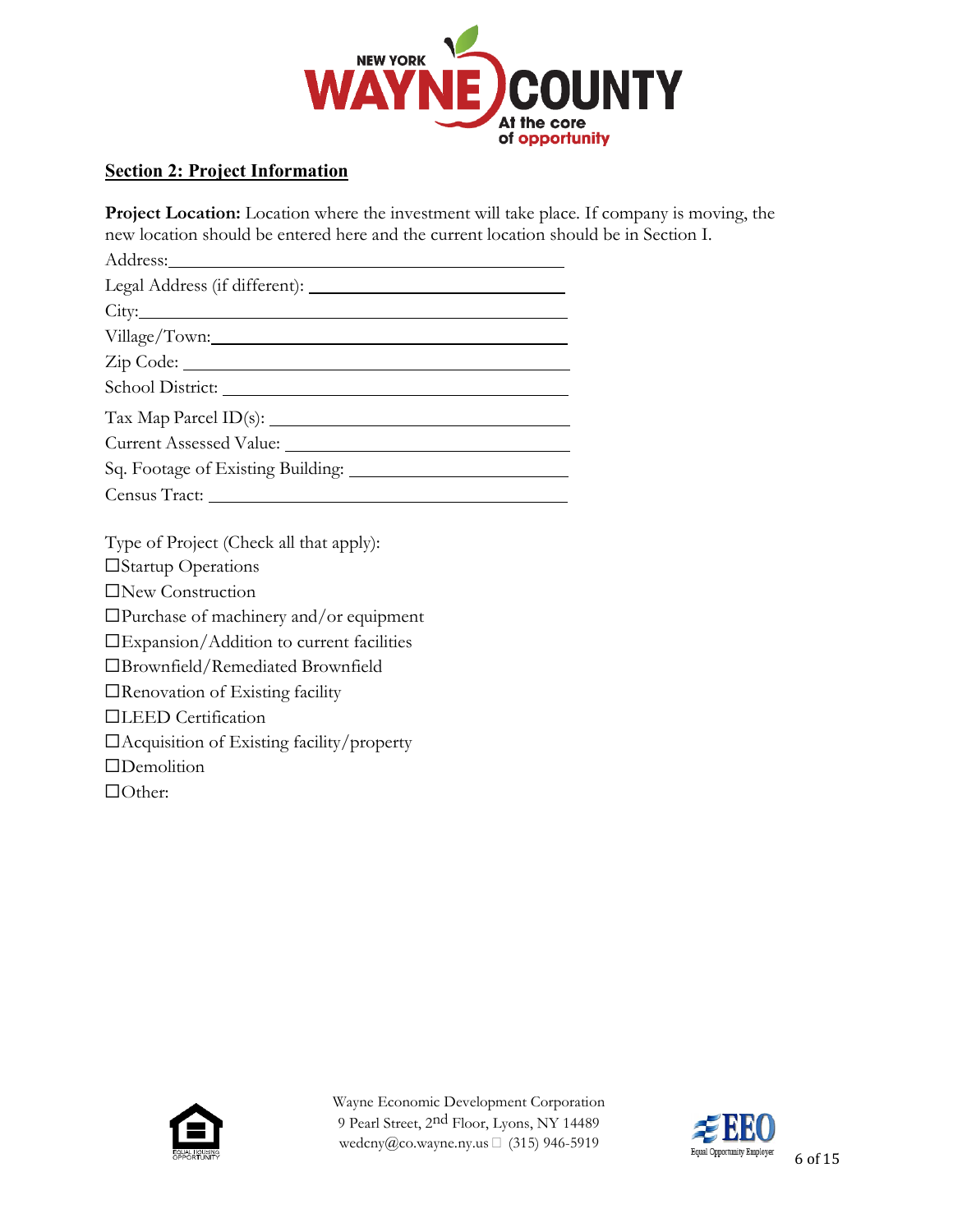

## **Section 2: Project Information**

**Project Location:** Location where the investment will take place. If company is moving, the new location should be entered here and the current location should be in Section I. Address:

| Village/Town:                     |
|-----------------------------------|
|                                   |
| School District:                  |
|                                   |
|                                   |
| Sq. Footage of Existing Building: |

Census Tract:

Type of Project (Check all that apply):

☐Startup Operations

☐New Construction

☐Purchase of machinery and/or equipment

☐Expansion/Addition to current facilities

☐Brownfield/Remediated Brownfield

☐Renovation of Existing facility

☐LEED Certification

☐Acquisition of Existing facility/property

☐Demolition

☐Other:



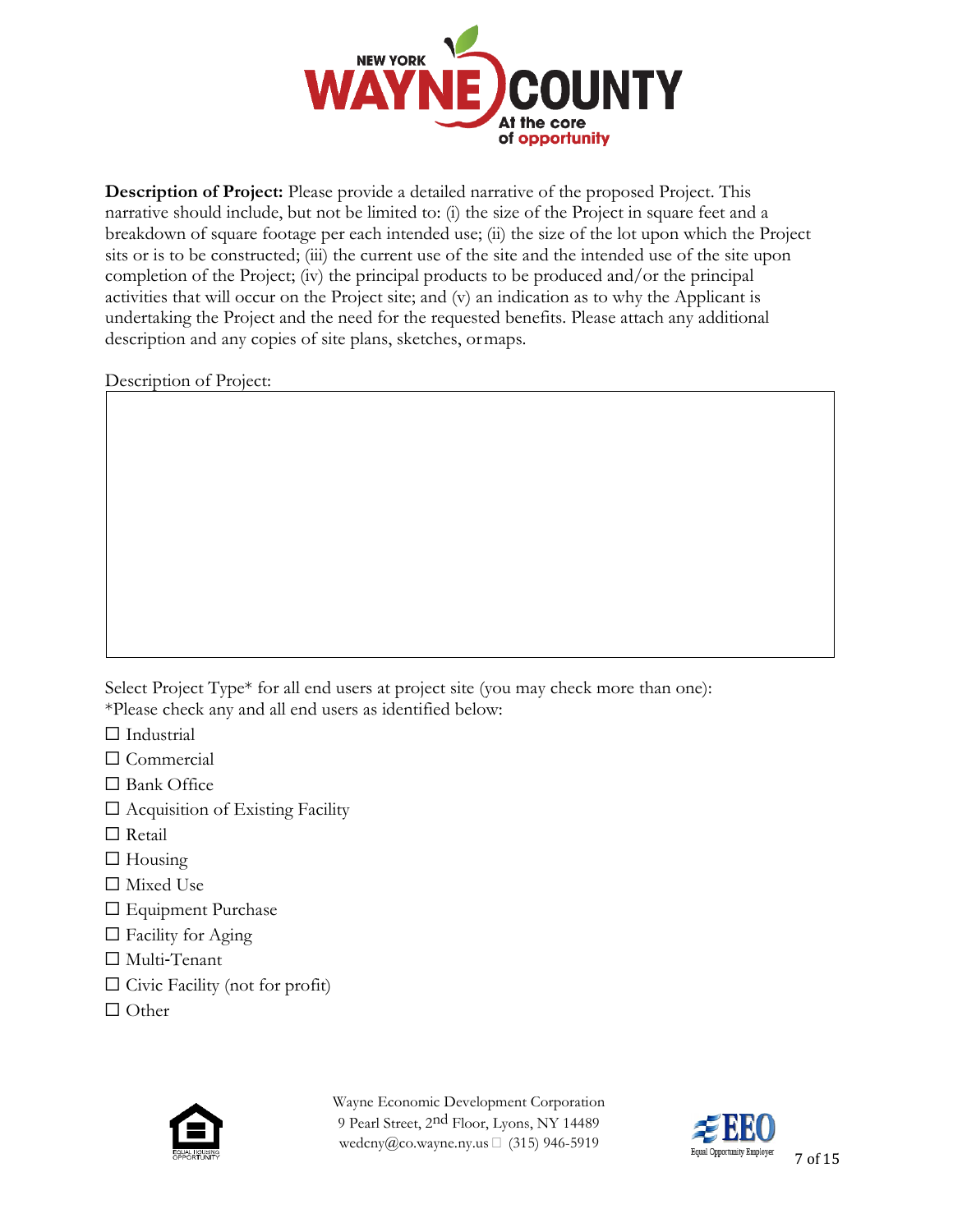

**Description of Project:** Please provide a detailed narrative of the proposed Project. This narrative should include, but not be limited to: (i) the size of the Project in square feet and a breakdown of square footage per each intended use; (ii) the size of the lot upon which the Project sits or is to be constructed; (iii) the current use of the site and the intended use of the site upon completion of the Project; (iv) the principal products to be produced and/or the principal activities that will occur on the Project site; and (v) an indication as to why the Applicant is undertaking the Project and the need for the requested benefits. Please attach any additional description and any copies of site plans, sketches, ormaps.

Description of Project:

Select Project Type\* for all end users at project site (you may check more than one): \*Please check any and all end users as identified below:

- □ Industrial
- ☐ Commercial
- ☐ Bank Office
- ☐ Acquisition of Existing Facility
- □ Retail
- $\Box$  Housing
- ☐ Mixed Use
- □ Equipment Purchase
- $\Box$  Facility for Aging
- ☐ Multi‐Tenant
- $\Box$  Civic Facility (not for profit)
- ☐ Other



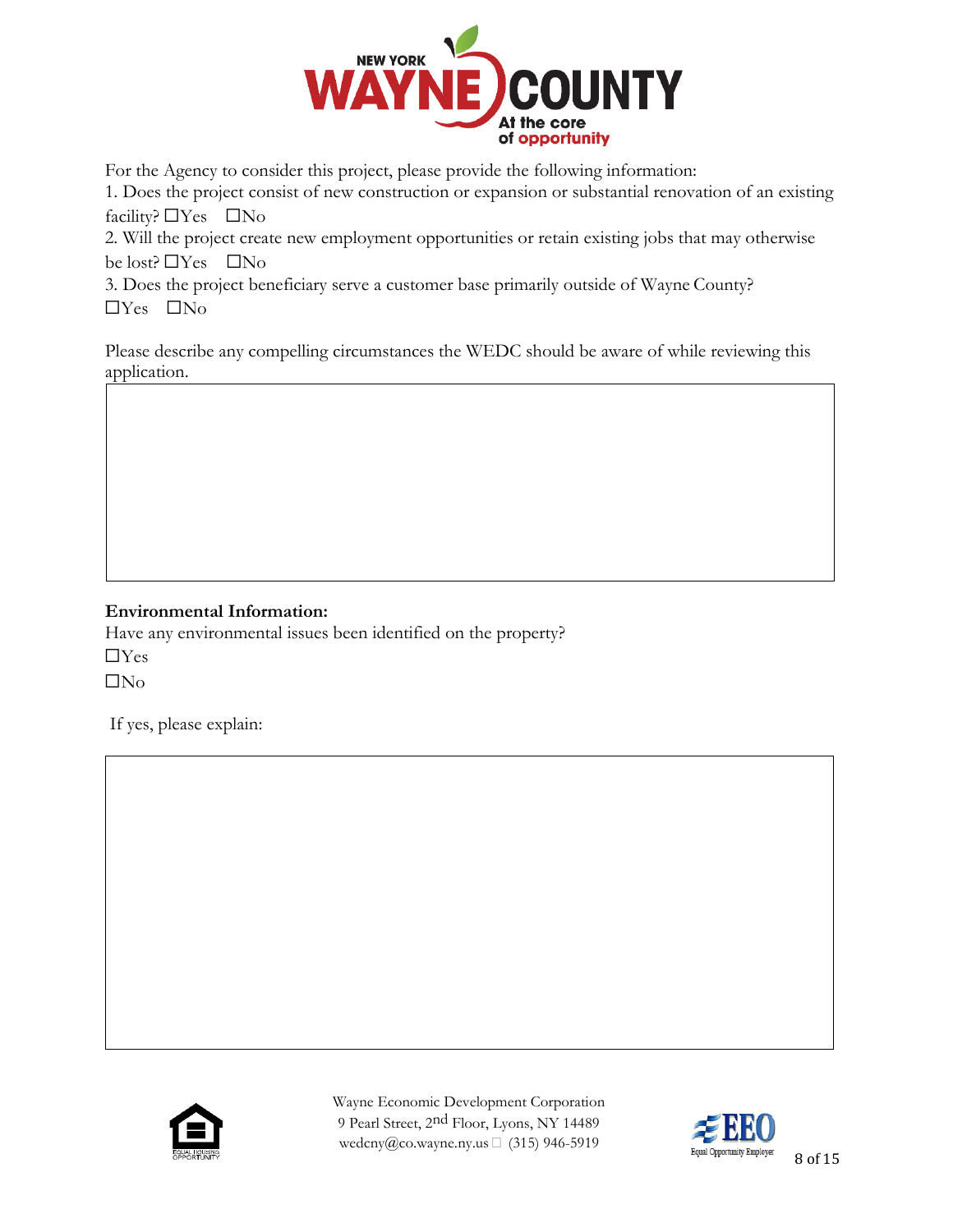

For the Agency to consider this project, please provide the following information:

1. Does the project consist of new construction or expansion or substantial renovation of an existing facility?  $\Box$  Yes  $\Box$  No

2. Will the project create new employment opportunities or retain existing jobs that may otherwise be lost? ☐Yes ☐No

3. Does the project beneficiary serve a customer base primarily outside of Wayne County? ☐Yes ☐No

Please describe any compelling circumstances the WEDC should be aware of while reviewing this application.

## **Environmental Information:**

Have any environmental issues been identified on the property?  $\Box$ Yes ☐No

If yes, please explain:



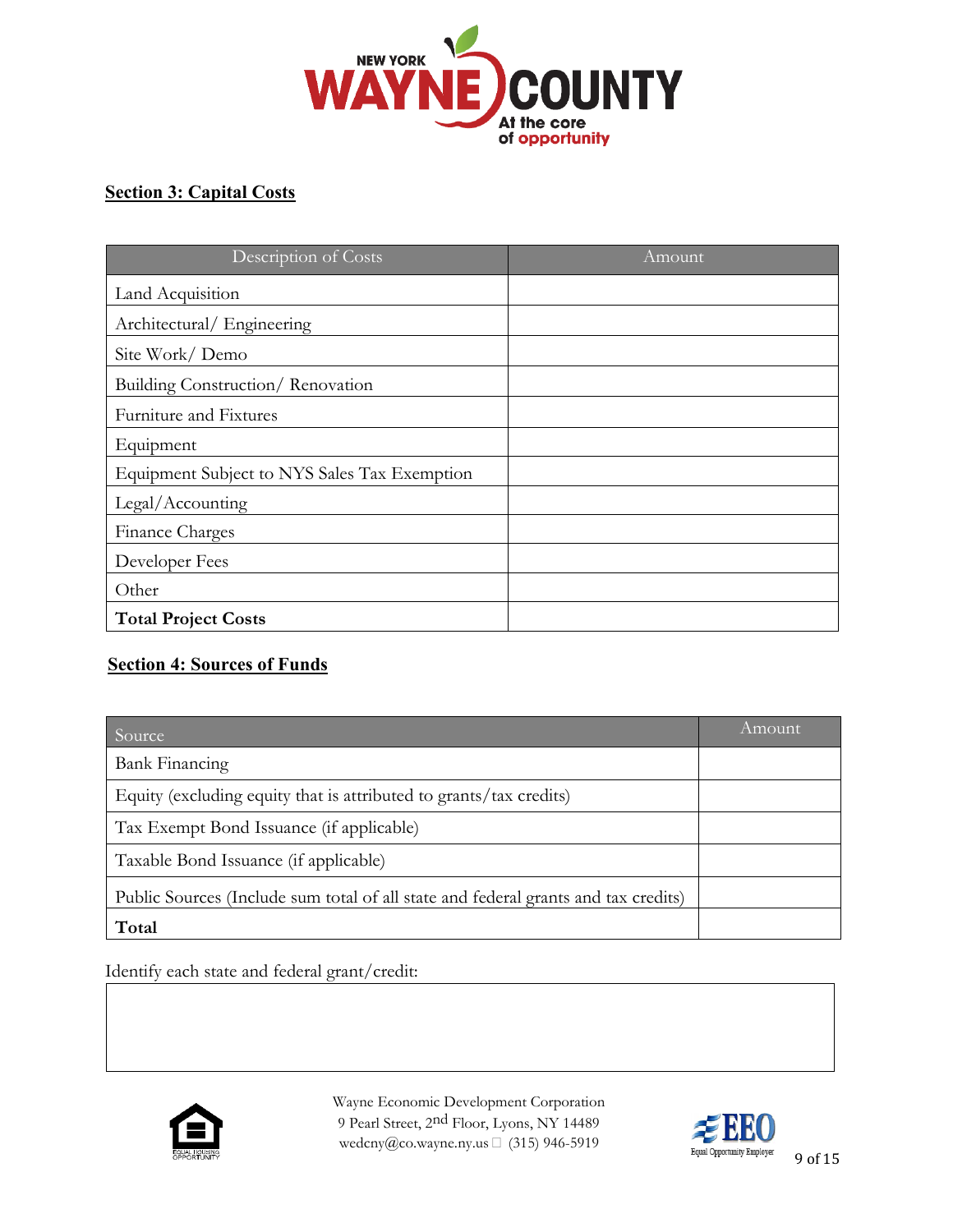

# **Section 3: Capital Costs**

| Description of Costs                         | Amount |
|----------------------------------------------|--------|
| Land Acquisition                             |        |
| Architectural/Engineering                    |        |
| Site Work/Demo                               |        |
| Building Construction/Renovation             |        |
| Furniture and Fixtures                       |        |
| Equipment                                    |        |
| Equipment Subject to NYS Sales Tax Exemption |        |
| Legal/Accounting                             |        |
| Finance Charges                              |        |
| Developer Fees                               |        |
| Other                                        |        |
| <b>Total Project Costs</b>                   |        |

# **Section 4: Sources of Funds**

| Source                                                                             | Amount |
|------------------------------------------------------------------------------------|--------|
| <b>Bank Financing</b>                                                              |        |
| Equity (excluding equity that is attributed to grants/tax credits)                 |        |
| Tax Exempt Bond Issuance (if applicable)                                           |        |
| Taxable Bond Issuance (if applicable)                                              |        |
| Public Sources (Include sum total of all state and federal grants and tax credits) |        |
| Total                                                                              |        |

Identify each state and federal grant/credit:



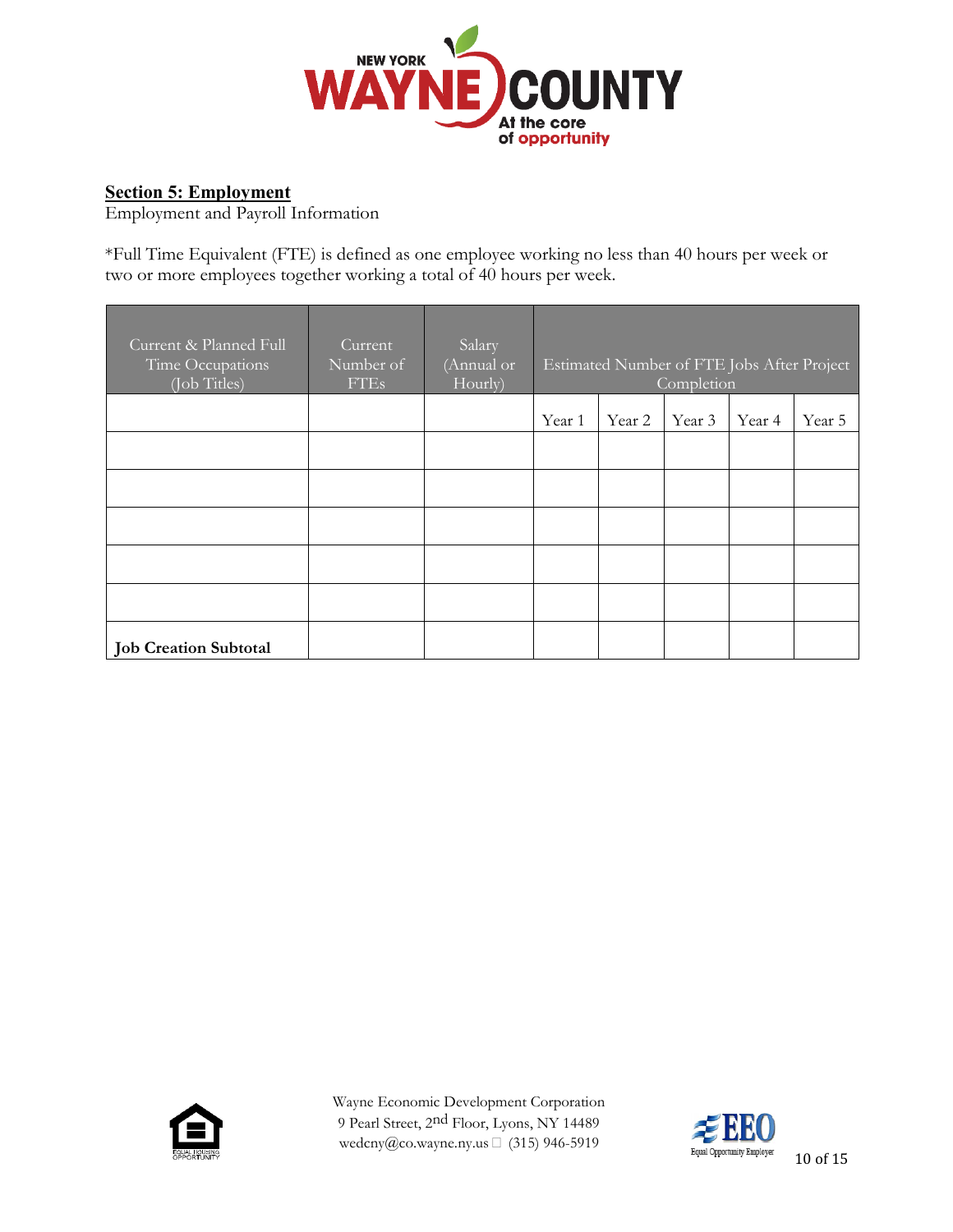

## **Section 5: Employment**

Employment and Payroll Information

\*Full Time Equivalent (FTE) is defined as one employee working no less than 40 hours per week or two or more employees together working a total of 40 hours per week.

| Current & Planned Full<br>Time Occupations<br>(Job Titles) | Current<br>Number of<br><b>FTEs</b> | Salary<br>(Annual or<br>Hourly) | <b>Estimated Number of FTE Jobs After Project</b><br>Completion |        |        |        |        |
|------------------------------------------------------------|-------------------------------------|---------------------------------|-----------------------------------------------------------------|--------|--------|--------|--------|
|                                                            |                                     |                                 | Year 1                                                          | Year 2 | Year 3 | Year 4 | Year 5 |
|                                                            |                                     |                                 |                                                                 |        |        |        |        |
|                                                            |                                     |                                 |                                                                 |        |        |        |        |
|                                                            |                                     |                                 |                                                                 |        |        |        |        |
|                                                            |                                     |                                 |                                                                 |        |        |        |        |
|                                                            |                                     |                                 |                                                                 |        |        |        |        |
| <b>Job Creation Subtotal</b>                               |                                     |                                 |                                                                 |        |        |        |        |



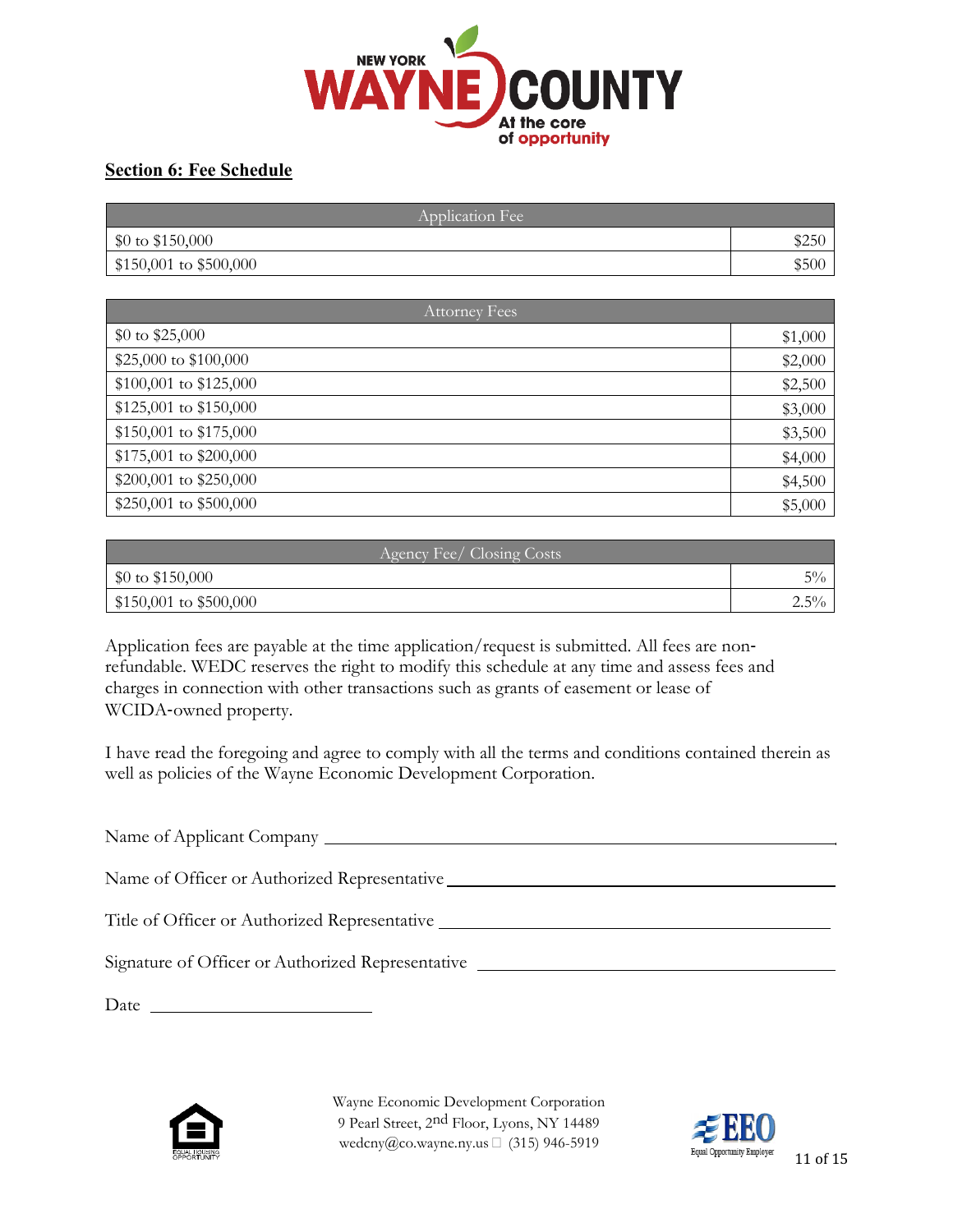

## **Section 6: Fee Schedule**

| Application Fee          |       |  |
|--------------------------|-------|--|
| \$0 to \$150,000         | \$250 |  |
| $$150,001$ to $$500,000$ | \$500 |  |

| <b>Attorney Fees</b>     |         |  |
|--------------------------|---------|--|
| $$0 \text{ to } $25,000$ | \$1,000 |  |
| \$25,000 to \$100,000    | \$2,000 |  |
| $$100,001$ to $$125,000$ | \$2,500 |  |
| \$125,001 to \$150,000   | \$3,000 |  |
| \$150,001 to \$175,000   | \$3,500 |  |
| \$175,001 to \$200,000   | \$4,000 |  |
| \$200,001 to \$250,000   | \$4,500 |  |
| \$250,001 to \$500,000   | \$5,000 |  |

| Agency Fee/Closing Costs             |         |  |
|--------------------------------------|---------|--|
| $\frac{1}{20}$ to \$150,000          | $5\%$   |  |
| $\frac{1}{2}$ \$150,001 to \$500,000 | $2.5\%$ |  |

Application fees are payable at the time application/request is submitted. All fees are non‐ refundable. WEDC reserves the right to modify this schedule at any time and assess fees and charges in connection with other transactions such as grants of easement or lease of WCIDA‐owned property.

I have read the foregoing and agree to comply with all the terms and conditions contained therein as well as policies of the Wayne Economic Development Corporation.

Name of Applicant Company Name of Officer or Authorized Representative Title of Officer or Authorized Representative Signature of Officer or Authorized Representative

Date and the set of the set of the set of the set of the set of the set of the set of the set of the set of the set of the set of the set of the set of the set of the set of the set of the set of the set of the set of the



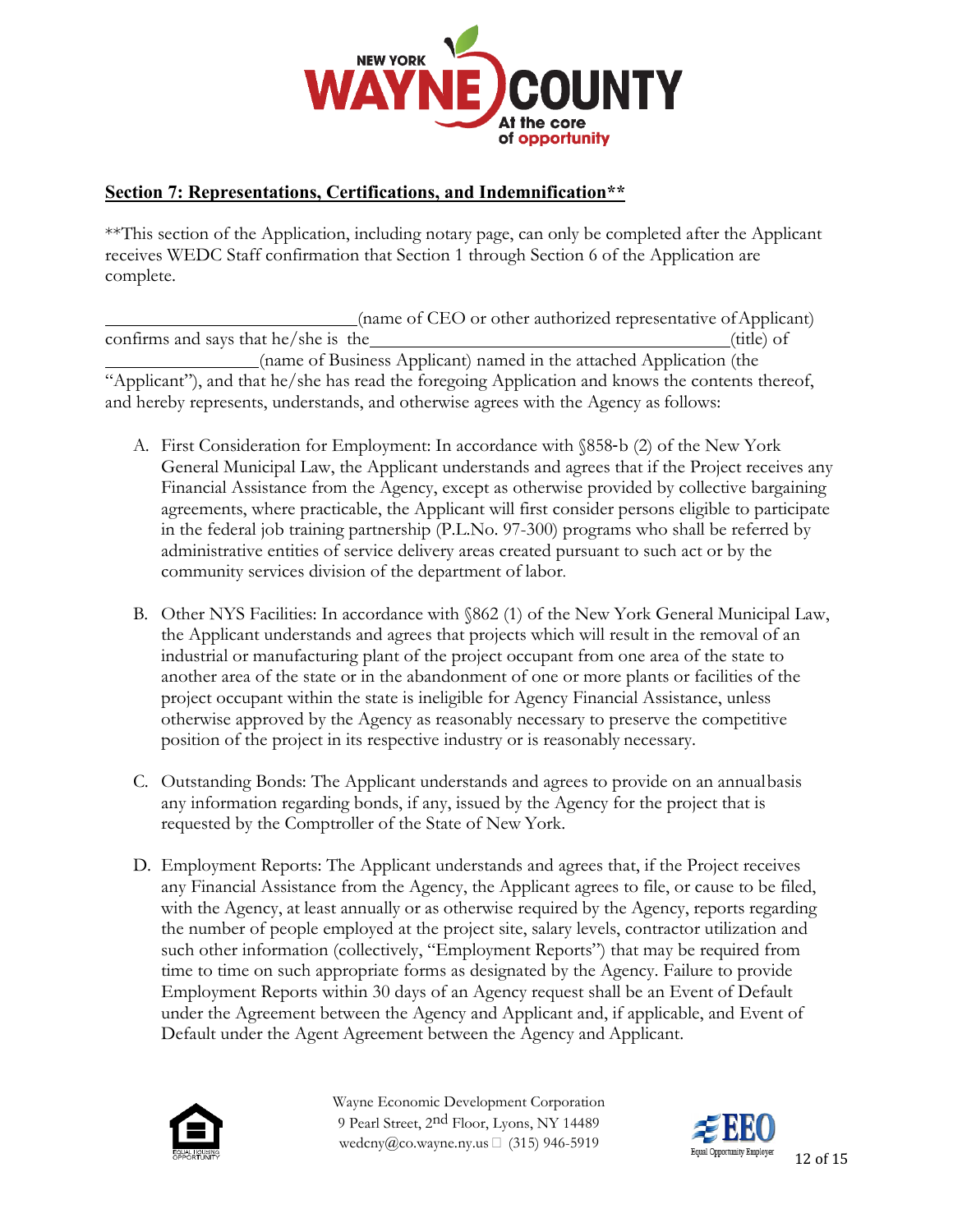

## **Section 7: Representations, Certifications, and Indemnification\*\***

\*\*This section of the Application, including notary page, can only be completed after the Applicant receives WEDC Staff confirmation that Section 1 through Section 6 of the Application are complete.

(name of CEO or other authorized representative ofApplicant) confirms and says that he/she is the (title) of (title) of (name of Business Applicant) named in the attached Application (the "Applicant"), and that he/she has read the foregoing Application and knows the contents thereof, and hereby represents, understands, and otherwise agrees with the Agency as follows:

- A. First Consideration for Employment: In accordance with §858‐b (2) of the New York General Municipal Law, the Applicant understands and agrees that if the Project receives any Financial Assistance from the Agency, except as otherwise provided by collective bargaining agreements, where practicable, the Applicant will first consider persons eligible to participate in the federal job training partnership (P.L.No. 97-300) programs who shall be referred by administrative entities of service delivery areas created pursuant to such act or by the community services division of the department of labor.
- B. Other NYS Facilities: In accordance with §862 (1) of the New York General Municipal Law, the Applicant understands and agrees that projects which will result in the removal of an industrial or manufacturing plant of the project occupant from one area of the state to another area of the state or in the abandonment of one or more plants or facilities of the project occupant within the state is ineligible for Agency Financial Assistance, unless otherwise approved by the Agency as reasonably necessary to preserve the competitive position of the project in its respective industry or is reasonably necessary.
- C. Outstanding Bonds: The Applicant understands and agrees to provide on an annualbasis any information regarding bonds, if any, issued by the Agency for the project that is requested by the Comptroller of the State of New York.
- D. Employment Reports: The Applicant understands and agrees that, if the Project receives any Financial Assistance from the Agency, the Applicant agrees to file, or cause to be filed, with the Agency, at least annually or as otherwise required by the Agency, reports regarding the number of people employed at the project site, salary levels, contractor utilization and such other information (collectively, "Employment Reports") that may be required from time to time on such appropriate forms as designated by the Agency. Failure to provide Employment Reports within 30 days of an Agency request shall be an Event of Default under the Agreement between the Agency and Applicant and, if applicable, and Event of Default under the Agent Agreement between the Agency and Applicant.



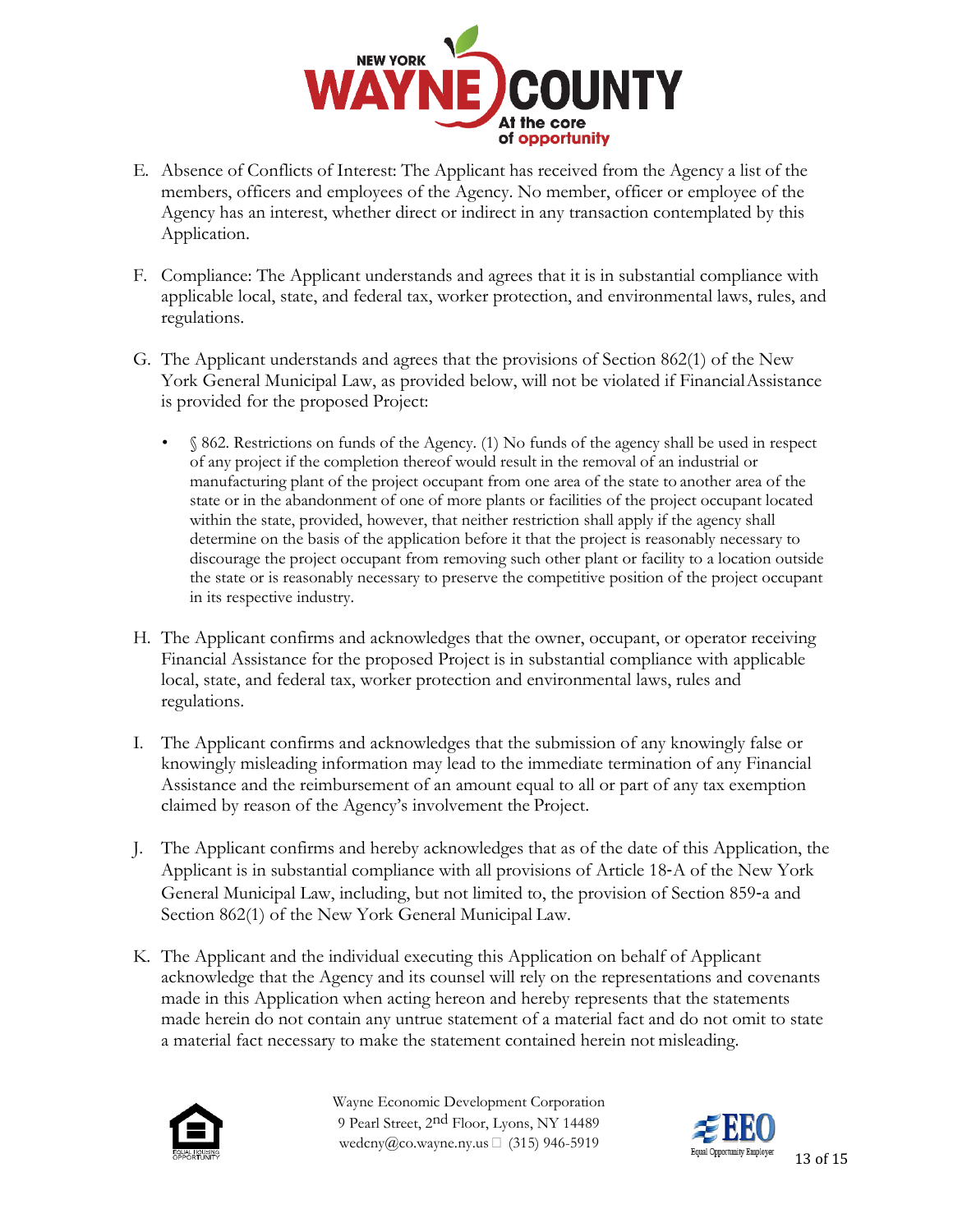

- E. Absence of Conflicts of Interest: The Applicant has received from the Agency a list of the members, officers and employees of the Agency. No member, officer or employee of the Agency has an interest, whether direct or indirect in any transaction contemplated by this Application.
- F. Compliance: The Applicant understands and agrees that it is in substantial compliance with applicable local, state, and federal tax, worker protection, and environmental laws, rules, and regulations.
- G. The Applicant understands and agrees that the provisions of Section 862(1) of the New York General Municipal Law, as provided below, will not be violated if FinancialAssistance is provided for the proposed Project:
	- § 862. Restrictions on funds of the Agency. (1) No funds of the agency shall be used in respect of any project if the completion thereof would result in the removal of an industrial or manufacturing plant of the project occupant from one area of the state to another area of the state or in the abandonment of one of more plants or facilities of the project occupant located within the state, provided, however, that neither restriction shall apply if the agency shall determine on the basis of the application before it that the project is reasonably necessary to discourage the project occupant from removing such other plant or facility to a location outside the state or is reasonably necessary to preserve the competitive position of the project occupant in its respective industry.
- H. The Applicant confirms and acknowledges that the owner, occupant, or operator receiving Financial Assistance for the proposed Project is in substantial compliance with applicable local, state, and federal tax, worker protection and environmental laws, rules and regulations.
- I. The Applicant confirms and acknowledges that the submission of any knowingly false or knowingly misleading information may lead to the immediate termination of any Financial Assistance and the reimbursement of an amount equal to all or part of any tax exemption claimed by reason of the Agency's involvement the Project.
- J. The Applicant confirms and hereby acknowledges that as of the date of this Application, the Applicant is in substantial compliance with all provisions of Article 18‐A of the New York General Municipal Law, including, but not limited to, the provision of Section 859‐a and Section 862(1) of the New York General Municipal Law.
- K. The Applicant and the individual executing this Application on behalf of Applicant acknowledge that the Agency and its counsel will rely on the representations and covenants made in this Application when acting hereon and hereby represents that the statements made herein do not contain any untrue statement of a material fact and do not omit to state a material fact necessary to make the statement contained herein not misleading.



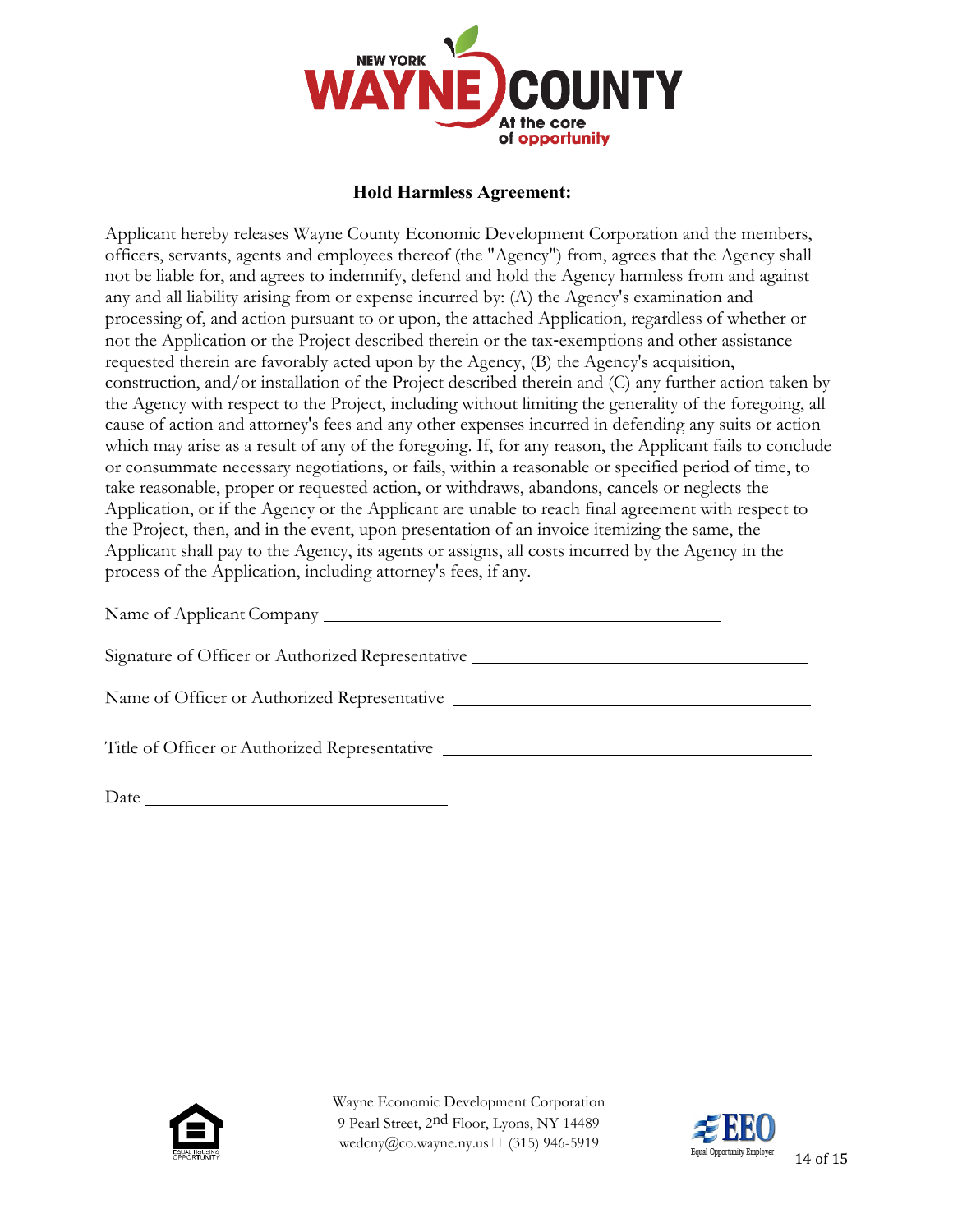

### **Hold Harmless Agreement:**

Applicant hereby releases Wayne County Economic Development Corporation and the members, officers, servants, agents and employees thereof (the "Agency") from, agrees that the Agency shall not be liable for, and agrees to indemnify, defend and hold the Agency harmless from and against any and all liability arising from or expense incurred by: (A) the Agency's examination and processing of, and action pursuant to or upon, the attached Application, regardless of whether or not the Application or the Project described therein or the tax-exemptions and other assistance requested therein are favorably acted upon by the Agency, (B) the Agency's acquisition, construction, and/or installation of the Project described therein and (C) any further action taken by the Agency with respect to the Project, including without limiting the generality of the foregoing, all cause of action and attorney's fees and any other expenses incurred in defending any suits or action which may arise as a result of any of the foregoing. If, for any reason, the Applicant fails to conclude or consummate necessary negotiations, or fails, within a reasonable or specified period of time, to take reasonable, proper or requested action, or withdraws, abandons, cancels or neglects the Application, or if the Agency or the Applicant are unable to reach final agreement with respect to the Project, then, and in the event, upon presentation of an invoice itemizing the same, the Applicant shall pay to the Agency, its agents or assigns, all costs incurred by the Agency in the process of the Application, including attorney's fees, if any.

Name of Applicant Company Legislation of Applicant Company

| Signature of Officer or Authorized Representative |  |
|---------------------------------------------------|--|
|                                                   |  |
| Name of Officer or Authorized Representative      |  |

Title of Officer or Authorized Representative

Date has been as a series of the series of the series of the series of the series of the series of the series of the series of the series of the series of the series of the series of the series of the series of the series